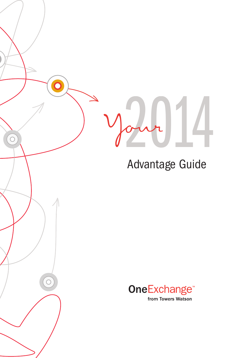C

 $\overline{C}$ 

### Advantage Guide

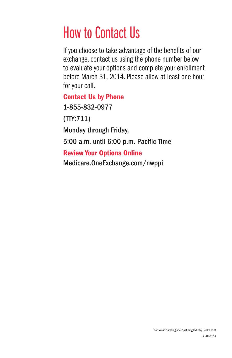### How to Contact Us

If you choose to take advantage of the benefits of our exchange, contact us using the phone number below to evaluate your options and complete your enrollment before March 31, 2014. Please allow at least one hour for your call.

#### Contact Us by Phone

1-855-832-0977

(TTY:711)

Monday through Friday,

5:00 a.m. until 6:00 p.m. Pacific Time

#### Review Your Options Online

Medicare.OneExchange.com/nwppi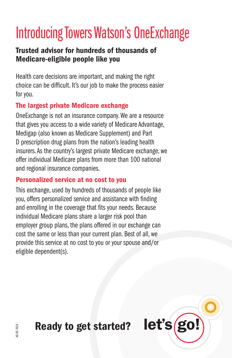## Introducing Towers Watson's OneExchange

#### Trusted advisor for hundreds of thousands of Medicare-eligible people like you

Health care decisions are important, and making the right choice can be difficult. It's our job to make the process easier for you.

#### The largest private Medicare exchange

One Exchange is not an insurance company. We are a resource that gives you access to a wide variety of Medicare Advantage. Medigap (also known as Medicare Supplement) and Part D prescription drug plans from the nation's leading health insurers. As the country's largest private Medicare exchange, we offer individual Medicare plans from more than 100 national and regional insurance companies.

#### Personalized service at no cost to you

This exchange, used by hundreds of thousands of people like you, offers personalized service and assistance with finding and enrolling in the coverage that fits your needs. Because individual Medicare plans share a larger risk pool than employer group plans, the plans offered in our exchange can cost the same or less than your current plan. Best of all, we provide this service at no cost to you or your spouse and/or eligible dependent(s).

Ready to get started?

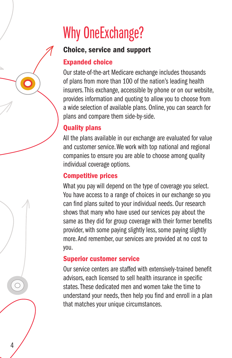# **Why OneExchange?**

### **Choice, service and support**

#### **Expanded choice**

Our state-of-the-art Medicare exchange includes thousands of plans from more than 100 of the nation's leading health insurers. This exchange, accessible by phone or on our website, provides information and quoting to allow you to choose from a wide selection of available plans. Online, you can search for plans and compare them side-by-side.

#### **Quality plans**

All the plans available in our exchange are evaluated for value and customer service. We work with top national and regional companies to ensure you are able to choose among quality individual coverage options.

#### **Competitive prices**

What you pay will depend on the type of coverage you select. You have access to a range of choices in our exchange so you can find plans suited to your individual needs. Our research shows that many who have used our services pay about the same as they did for group coverage with their former benefits provider, with some paying slightly less, some paying slightly more. And remember, our services are provided at no cost to you.

#### **Superior customer service**

4

Our service centers are staffed with extensively-trained benefit advisors, each licensed to sell health insurance in specific states. These dedicated men and women take the time to understand your needs, then help you find and enroll in a plan that matches your unique circumstances.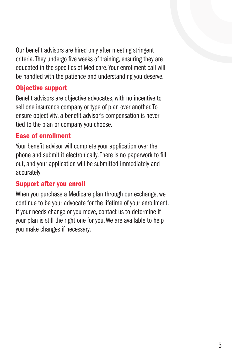Our benefit advisors are hired only after meeting stringent criteria. They undergo five weeks of training, ensuring they are educated in the specifics of Medicare. Your enrollment call will be handled with the patience and understanding you deserve.

#### **Objective support**

Benefit advisors are objective advocates, with no incentive to sell one insurance company or type of plan over another. To ensure objectivity, a benefit advisor's compensation is never tied to the plan or company you choose.

#### **Ease of enrollment**

Your benefit advisor will complete your application over the phone and submit it electronically. There is no paperwork to fill out, and your application will be submitted immediately and accurately.

#### **Support after you enroll**

When you purchase a Medicare plan through our exchange, we continue to be your advocate for the lifetime of your enrollment. If your needs change or you move, contact us to determine if your plan is still the right one for you. We are available to help you make changes if necessary.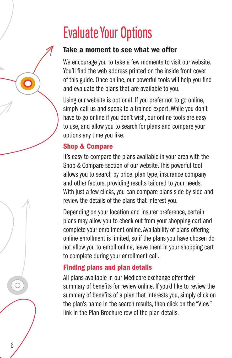### **Evaluate Your Options**

#### Take a moment to see what we offer

We encourage you to take a few moments to visit our website. You'll find the web address printed on the inside front cover of this guide. Once online, our powerful tools will help you find and evaluate the plans that are available to you.

Using our website is optional. If you prefer not to go online, simply call us and speak to a trained expert. While you don't have to go online if you don't wish, our online tools are easy to use, and allow you to search for plans and compare your options any time you like.

#### **Shop & Compare**

It's easy to compare the plans available in your area with the Shop & Compare section of our website. This powerful tool allows you to search by price, plan type, insurance company and other factors, providing results tailored to your needs. With just a few clicks, you can compare plans side-by-side and review the details of the plans that interest you.

Depending on your location and insurer preference, certain plans may allow you to check out from your shopping cart and complete your enrollment online. Availability of plans offering online enrollment is limited, so if the plans you have chosen do not allow you to enroll online, leave them in your shopping cart to complete during your enrollment call.

#### **Finding plans and plan details**

6

All plans available in our Medicare exchange offer their summary of benefits for review online. If you'd like to review the summary of benefits of a plan that interests you, simply click on the plan's name in the search results, then click on the "View" link in the Plan Brochure row of the plan details.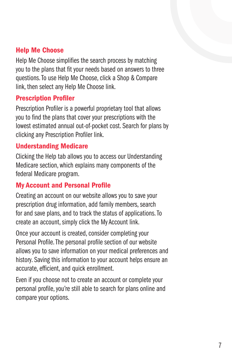#### **Help Me Choose**

Help Me Choose simplifies the search process by matching you to the plans that fit your needs based on answers to three questions. To use Help Me Choose, click a Shop & Compare link, then select any Help Me Choose link.

#### **Prescription Profiler**

Prescription Profiler is a powerful proprietary tool that allows you to find the plans that cover your prescriptions with the lowest estimated annual out-of-pocket cost. Search for plans by clicking any Prescription Profiler link.

#### **Understanding Medicare**

Clicking the Help tab allows you to access our Understanding Medicare section, which explains many components of the federal Medicare program.

#### **My Account and Personal Profile**

Creating an account on our website allows you to save your prescription drug information, add family members, search for and save plans, and to track the status of applications. To create an account, simply click the My Account link.

Once your account is created, consider completing your Personal Profile. The personal profile section of our website allows you to save information on your medical preferences and history. Saving this information to your account helps ensure an accurate, efficient, and quick enrollment.

Even if you choose not to create an account or complete your personal profile, you're still able to search for plans online and compare your options.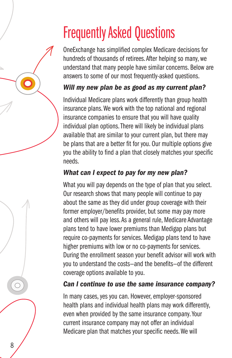## **Frequently Asked Questions**

OneExchange has simplified complex Medicare decisions for hundreds of thousands of retirees. After helping so many, we understand that many people have similar concerns. Below are answers to some of our most frequently-asked questions.

#### Will my new plan be as good as my current plan?

Individual Medicare plans work differently than group health insurance plans. We work with the top national and regional insurance companies to ensure that you will have quality individual plan options. There will likely be individual plans available that are similar to your current plan, but there may be plans that are a better fit for you. Our multiple options give you the ability to find a plan that closely matches your specific **needs** 

### What can I expect to pay for my new plan?

What you will pay depends on the type of plan that you select. Our research shows that many people will continue to pay about the same as they did under group coverage with their former employer/benefits provider, but some may pay more and others will pay less. As a general rule, Medicare Advantage plans tend to have lower premiums than Medigap plans but require co-payments for services. Medigap plans tend to have higher premiums with low or no co-payments for services. During the enrollment season your benefit advisor will work with you to understand the costs-and the benefits-of the different coverage options available to you.

#### Can I continue to use the same insurance company?

In many cases, yes you can. However, employer-sponsored health plans and individual health plans may work differently, even when provided by the same insurance company. Your current insurance company may not offer an individual Medicare plan that matches your specific needs. We will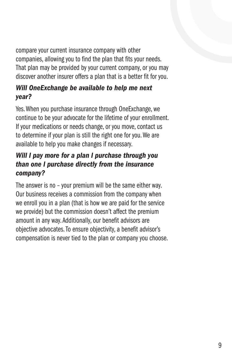compare your current insurance company with other companies, allowing you to find the plan that fits your needs. That plan may be provided by your current company, or you may discover another insurer offers a plan that is a better fit for you.

#### Will OneExchange be available to help me next year?

Yes. When you purchase insurance through OneExchange, we continue to be your advocate for the lifetime of your enrollment. If your medications or needs change, or you move, contact us to determine if your plan is still the right one for you. We are available to help you make changes if necessary.

#### Will I pay more for a plan I purchase through you than one I purchase directly from the insurance company?

The answer is no - your premium will be the same either way. Our business receives a commission from the company when we enroll you in a plan (that is how we are paid for the service we provide) but the commission doesn't affect the premium amount in any way. Additionally, our benefit advisors are objective advocates. To ensure objectivity, a benefit advisor's compensation is never tied to the plan or company you choose.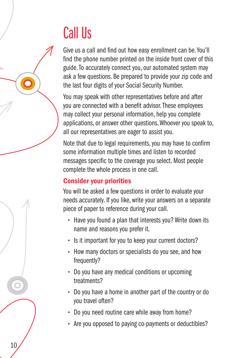### **Call Us**

Give us a call and find out how easy enrollment can be. You'll find the phone number printed on the inside front cover of this guide. To accurately connect you, our automated system may ask a few questions. Be prepared to provide your zip code and the last four digits of your Social Security Number.

You may speak with other representatives before and after you are connected with a benefit advisor. These employees may collect your personal information, help you complete applications, or answer other questions. Whoever you speak to, all our representatives are eager to assist you.

Note that due to legal requirements, you may have to confirm some information multiple times and listen to recorded messages specific to the coverage you select. Most people complete the whole process in one call.

#### **Consider your priorities**

You will be asked a few questions in order to evaluate your needs accurately. If you like, write your answers on a separate piece of paper to reference during your call.

- Have you found a plan that interests you? Write down its name and reasons you prefer it.
- Is it important for you to keep your current doctors?
- How many doctors or specialists do you see, and how frequently?
- Do you have any medical conditions or upcoming treatments?
- Do you have a home in another part of the country or do you travel often?
- . Do you need routine care while away from home?
- Are you opposed to paying co-payments or deductibles?

10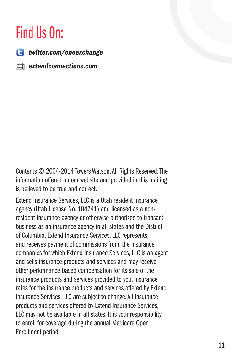### Find Us On:

 $\Box$  twitter.com/oneexchange

 $\equiv$  extendconnections.com

Contents © 2004-2014 Towers Watson. All Rights Reserved. The information offered on our website and provided in this mailing is believed to be true and correct.

Extend Insurance Services, LLC is a Utah resident insurance agency (Utah License No. 104741) and licensed as a nonresident insurance agency or otherwise authorized to transact business as an insurance agency in all states and the District of Columbia. Extend Insurance Services, LLC represents, and receives payment of commissions from, the insurance companies for which Extend Insurance Services, LLC is an agent and sells insurance products and services and may receive other performance-based compensation for its sale of the insurance products and services provided to you. Insurance rates for the insurance products and services offered by Extend Insurance Services, LLC are subject to change. All insurance products and services offered by Extend Insurance Services, LLC may not be available in all states. It is your responsibility to enroll for coverage during the annual Medicare Open Enrollment period.